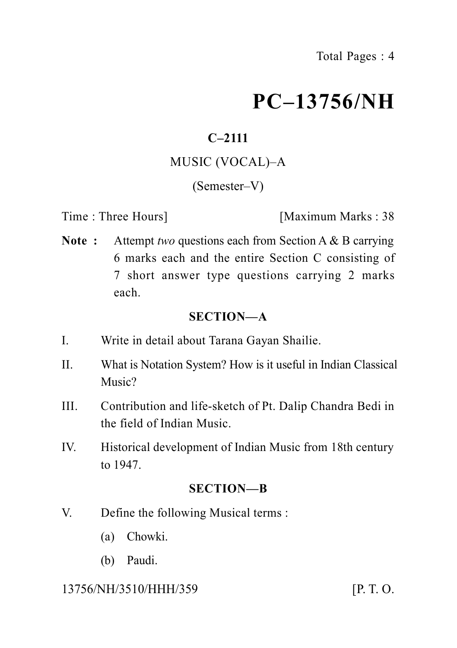# **PC–13756/NH**

# **C–2111**

## MUSIC (VOCAL)–A

## (Semester–V)

Time : Three Hours **I** Maximum Marks : 38

**Note :** Attempt *two* questions each from Section A & B carrying 6 marks each and the entire Section C consisting of 7 short answer type questions carrying 2 marks each.

#### **SECTION—A**

- I. Write in detail about Tarana Gayan Shailie.
- II. What is Notation System? How is it useful in Indian Classical Music?
- III. Contribution and life-sketch of Pt. Dalip Chandra Bedi in the field of Indian Music.
- IV. Historical development of Indian Music from 18th century to 1947.

## **SECTION—B**

- V. Define the following Musical terms :
	- (a) Chowki.
	- (b) Paudi.

## 13756/NH/3510/HHH/359 [P. T. O.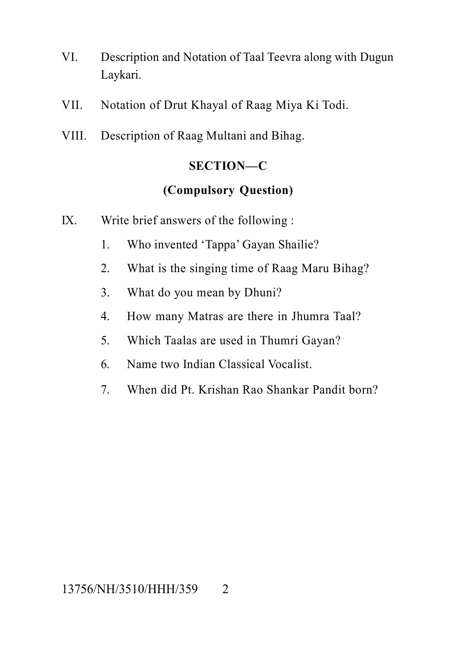- VI. Description and Notation of Taal Teevra along with Dugun Laykari.
- VII. Notation of Drut Khayal of Raag Miya Ki Todi.
- VIII. Description of Raag Multani and Bihag.

## **SECTION—C**

#### **(Compulsory Question)**

- IX. Write brief answers of the following :
	- 1. Who invented 'Tappa' Gayan Shailie?
	- 2. What is the singing time of Raag Maru Bihag?
	- 3. What do you mean by Dhuni?
	- 4. How many Matras are there in Jhumra Taal?
	- 5. Which Taalas are used in Thumri Gayan?
	- 6. Name two Indian Classical Vocalist.
	- 7. When did Pt. Krishan Rao Shankar Pandit born?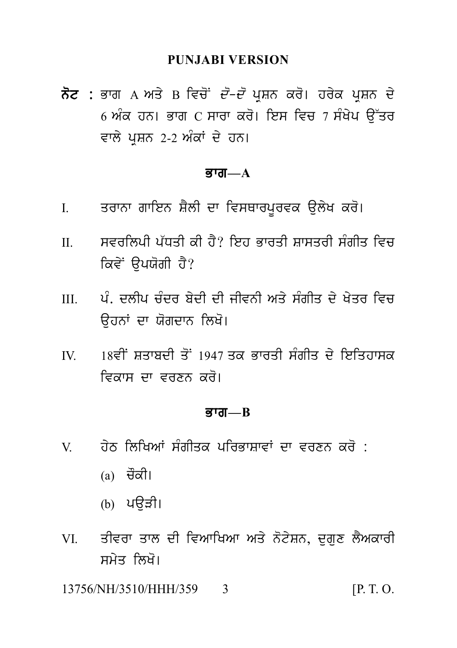#### **PUNJABI VERSION**

ਨੋਟ : ਭਾਗ A ਅਤੇ B ਵਿਚੋਂ *ਦੋ–ਦੋ* ਪਸ਼ਨ ਕਰੋ। ਹਰੇਕ ਪਸ਼ਨ ਦੇ 6 ਅੰਕ ਹਨ। ਭਾਗ C ਸਾਰਾ ਕਰੋ। ਇਸ ਵਿਚ 7 ਸੰਖੇਪ ਉੱਤਰ ਵਾਲੇ ਪੁਸ਼ਨ 2-2 ਅੰਕਾਂ ਦੇ ਹਨ।

#### ਭਾਗ $-A$

- ਤਰਾਨਾ ਗਾਇਨ ਸ਼ੈਲੀ ਦਾ ਵਿਸਥਾਰਪੁਰਵਕ ਉਲੇਖ ਕਰੋ।  $\mathbf{L}$
- ਸਵਰਲਿਪੀ ਪੱਧਤੀ ਕੀ ਹੈ? ਇਹ ਭਾਰਤੀ ਸ਼ਾਸਤਰੀ ਸੰਗੀਤ ਵਿਚ  $\Pi$ ਕਿਵੇਂ ਉਪਯੋਗੀ ਹੈ?
- ਪੂੰ ਦੁਲੀਪ ਚੰਦਰ ਬੇਦੀ ਦੀ ਜੀਵਨੀ ਅਤੇ ਸੰਗੀਤ ਦੇ ਖੇਤਰ ਵਿਚ  $III$ ਉਹਨਾਂ ਦਾ ਯੋਗਦਾਨ ਲਿਖੋ।
- 18ਵੀਂ ਸਤਾਬਦੀ ਤੋਂ 1947 ਤਕ ਕਾਰਤੀ ਸੰਗੀਤ ਦੇ ਇਤਿਹਾਸਕ  $\mathbf{I}$ ਵਿਕਾਸ ਦਾ ਵਰਣਨ ਕਰੋ।

#### ਭਾਗ $-R$

- ਹੇਨ ਲਿਖਿਆਂ ਸੰਗੀਤਕ ਪਰਿਕਾਸਾਵਾਂ ਦਾ ਵਰਣਨ ਕਰੋ $\cdot$  $V$ 
	- (a) ਚੌਕੀ।
	- (b) ਪੳੜੀ।
- ਤੀਵਰਾ ਤਾਲ ਦੀ ਵਿਆਖਿਆ ਅਤੇ ਨੋਟੇਸ਼ਨ, ਦਗਣ ਲੈਅਕਾਰੀ  $VI$ ਸਮੇਤ ਲਿਖੋ।

13756/NH/3510/HHH/359  $[P, T, O]$ 3